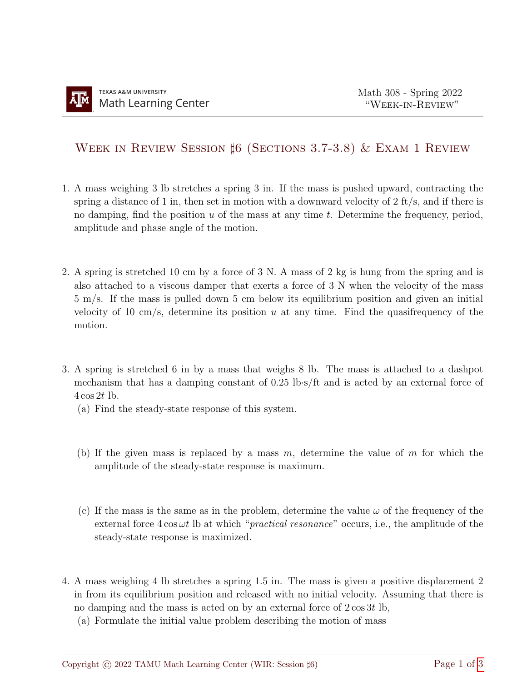## WEEK IN REVIEW SESSION  $\sharp$ 6 (SECTIONS 3.7-3.8) & EXAM 1 REVIEW

- 1. A mass weighing 3 lb stretches a spring 3 in. If the mass is pushed upward, contracting the spring a distance of 1 in, then set in motion with a downward velocity of  $2 \text{ ft/s}$ , and if there is no damping, find the position  $u$  of the mass at any time  $t$ . Determine the frequency, period, amplitude and phase angle of the motion.
- 2. A spring is stretched 10 cm by a force of 3 N. A mass of 2 kg is hung from the spring and is also attached to a viscous damper that exerts a force of 3 N when the velocity of the mass 5 m/s. If the mass is pulled down 5 cm below its equilibrium position and given an initial velocity of 10 cm/s, determine its position  $u$  at any time. Find the quasifrequency of the motion.
- 3. A spring is stretched 6 in by a mass that weighs 8 lb. The mass is attached to a dashpot mechanism that has a damping constant of 0.25 lb·s/ft and is acted by an external force of  $4\cos 2t$  lb.
	- (a) Find the steady-state response of this system.
	- (b) If the given mass is replaced by a mass  $m$ , determine the value of  $m$  for which the amplitude of the steady-state response is maximum.
	- (c) If the mass is the same as in the problem, determine the value  $\omega$  of the frequency of the external force  $4 \cos \omega t$  lb at which "*practical resonance*" occurs, i.e., the amplitude of the steady-state response is maximized.
- 4. A mass weighing 4 lb stretches a spring 1.5 in. The mass is given a positive displacement 2 in from its equilibrium position and released with no initial velocity. Assuming that there is no damping and the mass is acted on by an external force of  $2 \cos 3t$  lb,
	- (a) Formulate the initial value problem describing the motion of mass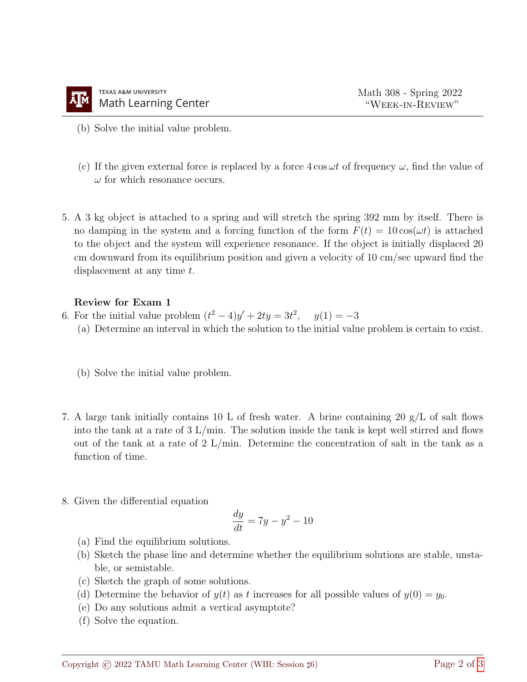- (b) Solve the initial value problem.
- (c) If the given external force is replaced by a force  $4 \cos \omega t$  of frequency  $\omega$ , find the value of  $\omega$  for which resonance occurs.
- 5. A 3 kg object is attached to a spring and will stretch the spring 392 mm by itself. There is no damping in the system and a forcing function of the form  $F(t) = 10 \cos(\omega t)$  is attached to the object and the system will experience resonance. If the object is initially displaced 20 cm downward from its equilibrium position and given a velocity of 10 cm/sec upward find the displacement at any time t.

## Review for Exam 1

- 6. For the initial value problem  $(t^2 4)y' + 2ty = 3t^2$ ,  $y(1) = -3$ 
	- (a) Determine an interval in which the solution to the initial value problem is certain to exist.
	- (b) Solve the initial value problem.
- 7. A large tank initially contains 10 L of fresh water. A brine containing 20 g/L of salt flows into the tank at a rate of  $3 \text{ L/min}$ . The solution inside the tank is kept well stirred and flows out of the tank at a rate of 2 L/min. Determine the concentration of salt in the tank as a function of time.
- 8. Given the differential equation

$$
\frac{dy}{dt} = 7y - y^2 - 10
$$

- (a) Find the equilibrium solutions.
- (b) Sketch the phase line and determine whether the equilibrium solutions are stable, unstable, or semistable.
- (c) Sketch the graph of some solutions.
- (d) Determine the behavior of  $y(t)$  as t increases for all possible values of  $y(0) = y_0$ .
- (e) Do any solutions admit a vertical asymptote?
- (f) Solve the equation.